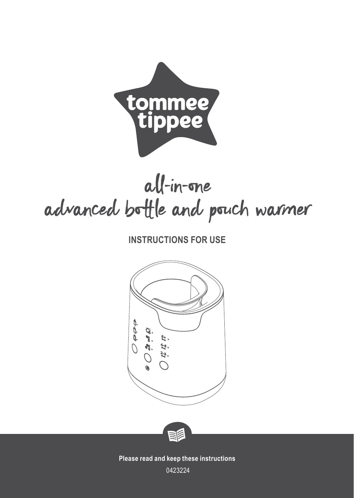

# all-in-one advanced bottle and pouch warmer

**INSTRUCTIONS FOR USE**





**Please read and keep these instructions**

0423224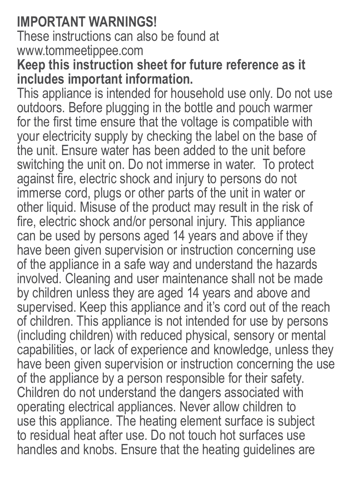## **IMPORTANT WARNINGS!**

These instructions can also be found at www.tommeetippee.com

### **Keep this instruction sheet for future reference as it includes important information.**

This appliance is intended for household use only. Do not use outdoors. Before plugging in the bottle and pouch warmer for the first time ensure that the voltage is compatible with your electricity supply by checking the label on the base of the unit. Ensure water has been added to the unit before switching the unit on. Do not immerse in water. To protect against fire, electric shock and injury to persons do not immerse cord, plugs or other parts of the unit in water or other liquid. Misuse of the product may result in the risk of fire, electric shock and/or personal injury. This appliance can be used by persons aged 14 years and above if they have been given supervision or instruction concerning use of the appliance in a safe way and understand the hazards involved. Cleaning and user maintenance shall not be made by children unless they are aged 14 years and above and supervised. Keep this appliance and it's cord out of the reach of children. This appliance is not intended for use by persons (including children) with reduced physical, sensory or mental capabilities, or lack of experience and knowledge, unless they have been given supervision or instruction concerning the use of the appliance by a person responsible for their safety. Children do not understand the dangers associated with operating electrical appliances. Never allow children to use this appliance. The heating element surface is subject to residual heat after use. Do not touch hot surfaces use handles and knobs. Ensure that the heating guidelines are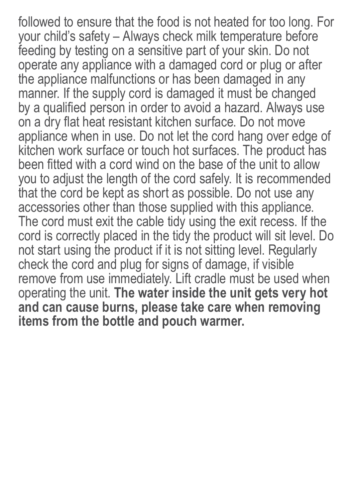followed to ensure that the food is not heated for too long. For your child's safety – Always check milk temperature before feeding by testing on a sensitive part of your skin. Do not operate any appliance with a damaged cord or plug or after the appliance malfunctions or has been damaged in any manner. If the supply cord is damaged it must be changed by a qualified person in order to avoid a hazard. Always use on a dry flat heat resistant kitchen surface. Do not move appliance when in use. Do not let the cord hang over edge of kitchen work surface or touch hot surfaces. The product has been fitted with a cord wind on the base of the unit to allow you to adjust the length of the cord safely. It is recommended that the cord be kept as short as possible. Do not use any accessories other than those supplied with this appliance. The cord must exit the cable tidy using the exit recess. If the cord is correctly placed in the tidy the product will sit level. Do not start using the product if it is not sitting level. Regularly check the cord and plug for signs of damage, if visible remove from use immediately. Lift cradle must be used when operating the unit. **The water inside the unit gets very hot and can cause burns, please take care when removing items from the bottle and pouch warmer.**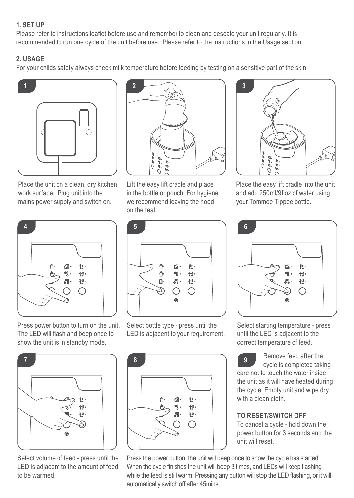#### **1. SET UP**

Please refer to instructions leaflet before use and remember to clean and descale your unit regularly. It is recommended to run one cycle of the unit before use. Please refer to the instructions in the Usage section.

#### **2. USAGE**

For your childs safety always check milk temperature before feeding by testing on a sensitive part of the skin.



Place the unit on a clean, dry kitchen work surface. Plug unit into the mains power supply and switch on.



Lift the easy lift cradle and place in the bottle or pouch. For hygiene we recommend leaving the hood on the teat.



Place the easy lift cradle into the unit and add 250ml/9floz of water using your Tommee Tippee bottle.



Press power button to turn on the unit. The LED will flash and beep once to show the unit is in standby mode.



Select bottle type - press until the LED is adjacent to your requirement.



Select volume of feed - press until the LED is adjacent to the amount of feed to be warmed.





Select starting temperature - press until the LED is adjacent to the correct temperature of feed.

**9** Remove feed after the cycle is completed taking care not to touch the water inside the unit as it will have heated during the cycle. Empty unit and wipe dry with a clean cloth.

#### **TO RESET/SWITCH OFF**

To cancel a cycle - hold down the power button for 3 seconds and the unit will reset.

Press the power button, the unit will beep once to show the cycle has started. When the cycle finishes the unit will beep 3 times, and LEDs will keep flashing while the feed is still warm. Pressing any button will stop the LED flashing, or it will automatically switch off after 45mins.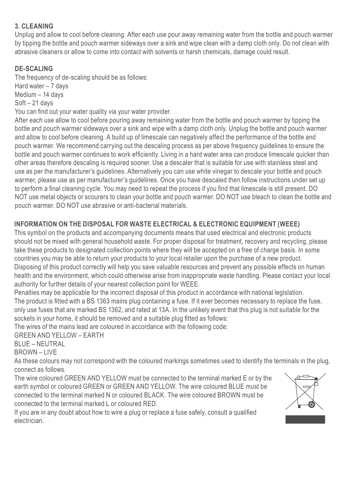#### **3. CLEANING**

Unplug and allow to cool before cleaning. After each use pour away remaining water from the bottle and pouch warmer by tipping the bottle and pouch warmer sideways over a sink and wipe clean with a damp cloth only. Do not clean with abrasive cleaners or allow to come into contact with solvents or harsh chemicals, damage could result.

#### **DE-SCALING**

The frequency of de-scaling should be as follows: Hard water – 7 days Medium – 14 days Soft – 21 days You can find out your water quality via your water provider. After each use allow to cool before pouring away remaining water from the bottle and pouch warmer by tipping the bottle and pouch warmer sideways over a sink and wipe with a damp cloth only. Unplug the bottle and pouch warmer and allow to cool before cleaning. A build up of limescale can negatively affect the performance of the bottle and pouch warmer. We recommend carrying out the descaling process as per above frequency guidelines to ensure the

bottle and pouch warmer continues to work efficiently. Living in a hard water area can produce limescale quicker than other areas therefore descaling is required sooner. Use a descaler that is suitable for use with stainless steel and use as per the manufacturer's guidelines. Alternatively you can use white vinegar to descale your bottle and pouch warmer, please use as per manufacturer's guidelines. Once you have descaled then follow instructions under set up to perform a final cleaning cycle. You may need to repeat the process if you find that limescale is still present. DO NOT use metal objects or scourers to clean your bottle and pouch warmer. DO NOT use bleach to clean the bottle and pouch warmer. DO NOT use abrasive or anti-bacterial materials.

#### **INFORMATION ON THE DISPOSAL FOR WASTE ELECTRICAL & ELECTRONIC EQUIPMENT (WEEE)**

This symbol on the products and accompanying documents means that used electrical and electronic products should not be mixed with general household waste. For proper disposal for treatment, recovery and recycling, please take these products to designated collection points where they will be accepted on a free of charge basis. In some countries you may be able to return your products to your local retailer upon the purchase of a new product. Disposing of this product correctly will help you save valuable resources and prevent any possible effects on human health and the environment, which could otherwise arise from inappropriate waste handling. Please contact your local authority for further details of your nearest collection point for WEEE.

Penalties may be applicable for the incorrect disposal of this product in accordance with national legislation. The product is fitted with a BS 1363 mains plug containing a fuse. If it ever becomes necessary to replace the fuse, only use fuses that are marked BS 1362, and rated at 13A. In the unlikely event that this plug is not suitable for the sockets in your home, it should be removed and a suitable plug fitted as follows:

The wires of the mains lead are coloured in accordance with the following code:

GREEN AND YELLOW – EARTH

BLUE – NEUTRAL

BROWN – LIVE

As these colours may not correspond with the coloured markings sometimes used to identify the terminals in the plug, connect as follows.

The wire coloured GREEN AND YELLOW must be connected to the terminal marked E or by the earth symbol or coloured GREEN or GREEN AND YELLOW. The wire coloured BLUE must be connected to the terminal marked N or coloured BLACK. The wire coloured BROWN must be connected to the terminal marked L or coloured RED.

If you are in any doubt about how to wire a plug or replace a fuse safely, consult a qualified electrician.

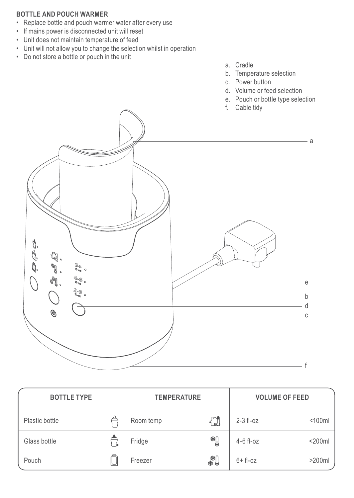#### **BOTTLE AND POUCH WARMER**

- Replace bottle and pouch warmer water after every use
- If mains power is disconnected unit will reset
- Unit does not maintain temperature of feed
- Unit will not allow you to change the selection whilst in operation
- Do not store a bottle or pouch in the unit
- a. Cradle
- b. Temperature selection
- c. Power button
- d. Volume or feed selection
- e. Pouch or bottle type selection
- f. Cable tidy



| <b>BOTTLE TYPE</b> |  | <b>TEMPERATURE</b> |         | <b>VOLUME OF FEED</b> |              |
|--------------------|--|--------------------|---------|-----------------------|--------------|
| Plastic bottle     |  | Room temp          | M<br>٤J | $2-3$ fl- $oz$        | $<$ 100 $ml$ |
| Glass bottle       |  | Fridge             | *[      | $4-6$ fl-oz           | $<$ 200 $ml$ |
| Pouch              |  | Freezer            | #1      | $6 + fl-oz$           | $>200$ ml    |